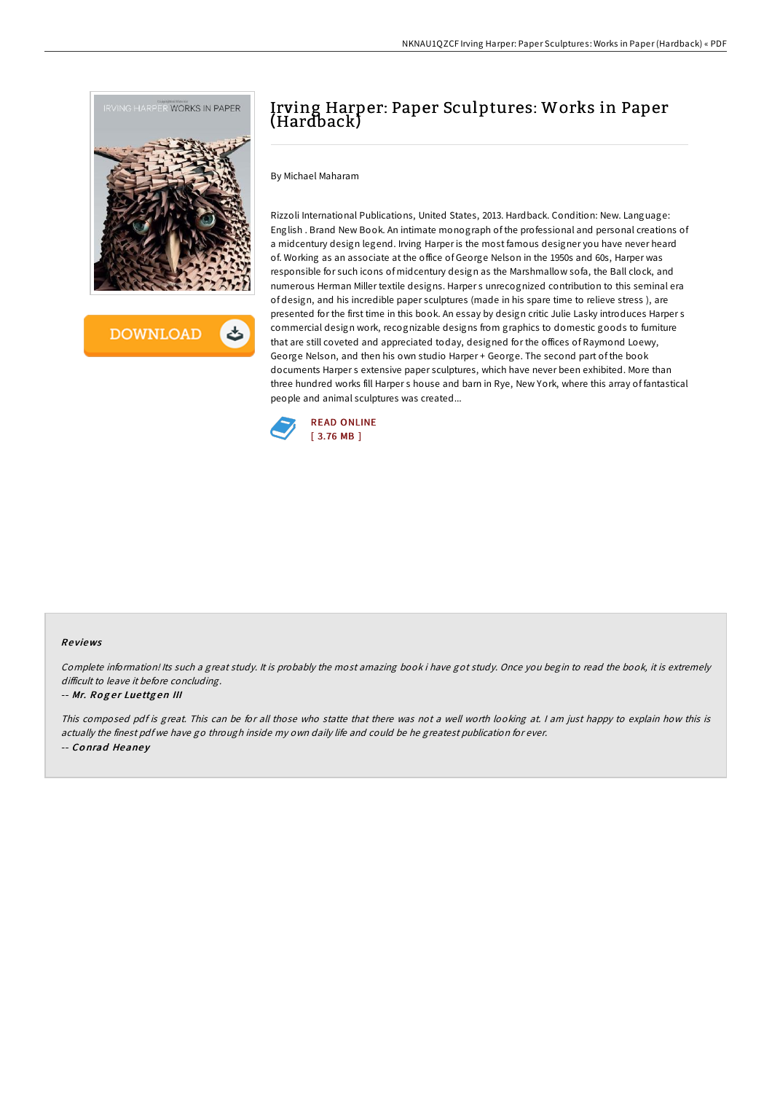

**DOWNLOAD** 

# Irving Harper: Paper Sculptures: Works in Paper (Hardback)

By Michael Maharam

Rizzoli International Publications, United States, 2013. Hardback. Condition: New. Language: English . Brand New Book. An intimate monograph of the professional and personal creations of a midcentury design legend. Irving Harper is the most famous designer you have never heard of. Working as an associate at the office of George Nelson in the 1950s and 60s, Harper was responsible for such icons of midcentury design as the Marshmallow sofa, the Ball clock, and numerous Herman Miller textile designs. Harper s unrecognized contribution to this seminal era of design, and his incredible paper sculptures (made in his spare time to relieve stress ), are presented for the first time in this book. An essay by design critic Julie Lasky introduces Harper s commercial design work, recognizable designs from graphics to domestic goods to furniture that are still coveted and appreciated today, designed for the offices of Raymond Loewy, George Nelson, and then his own studio Harper + George. The second part of the book documents Harper s extensive paper sculptures, which have never been exhibited. More than three hundred works fill Harper s house and barn in Rye, New York, where this array of fantastical people and animal sculptures was created...



## Re views

Complete information! Its such <sup>a</sup> great study. It is probably the most amazing book i have got study. Once you begin to read the book, it is extremely difficult to leave it before concluding.

### -- Mr. Roger Luettgen III

This composed pdf is great. This can be for all those who statte that there was not <sup>a</sup> well worth looking at. <sup>I</sup> am just happy to explain how this is actually the finest pdf we have go through inside my own daily life and could be he greatest publication for ever. -- Conrad Heaney